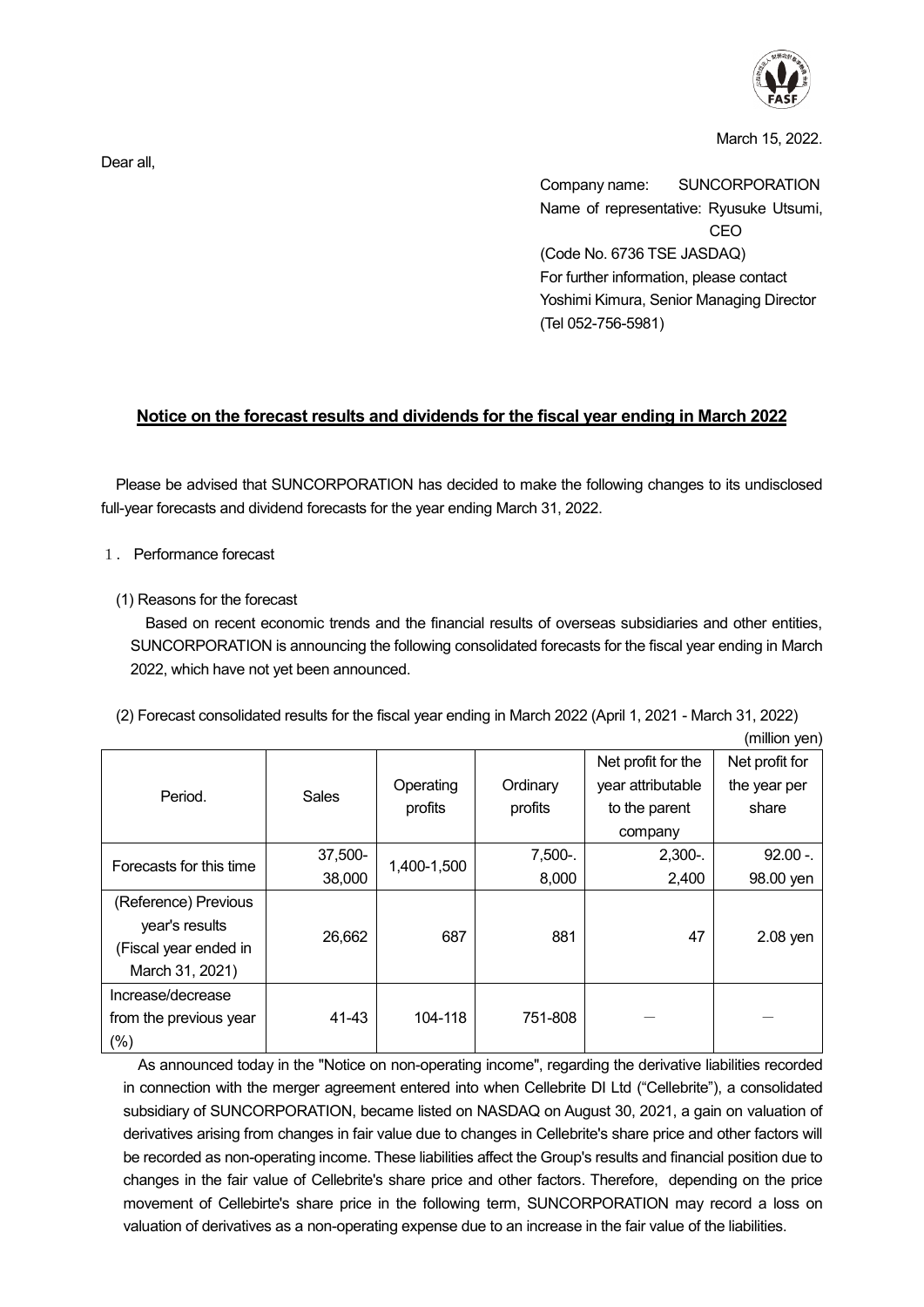

(million yen)

March 15, 2022.

Company name: SUNCORPORATION Name of representative: Ryusuke Utsumi, CEO (Code No. 6736 TSE JASDAQ) For further information, please contact Yoshimi Kimura, Senior Managing Director (Tel 052-756-5981)

## **Notice on the forecast results and dividends for the fiscal year ending in March 2022**

Please be advised that SUNCORPORATION has decided to make the following changes to its undisclosed full-year forecasts and dividend forecasts for the year ending March 31, 2022.

- 1.Performance forecast
	- (1) Reasons for the forecast

Based on recent economic trends and the financial results of overseas subsidiaries and other entities, SUNCORPORATION is announcing the following consolidated forecasts for the fiscal year ending in March 2022, which have not yet been announced.

(2) Forecast consolidated results for the fiscal year ending in March 2022 (April 1, 2021 - March 31, 2022)

|                         |         |             |            | Net profit for the | Net profit for |
|-------------------------|---------|-------------|------------|--------------------|----------------|
|                         | Sales   |             |            |                    |                |
| Period.                 |         | Operating   | Ordinary   | year attributable  | the year per   |
|                         |         | profits     | profits    | to the parent      | share          |
|                         |         |             |            | company            |                |
| Forecasts for this time | 37,500- | 1,400-1,500 | $7,500-$ . | $2,300-$ .         | $92.00 -$      |
|                         | 38,000  |             | 8,000      | 2,400              | 98.00 yen      |
| (Reference) Previous    |         |             |            |                    |                |
| year's results          | 26,662  | 687         | 881        | 47                 | $2.08$ yen     |
| (Fiscal year ended in   |         |             |            |                    |                |
| March 31, 2021)         |         |             |            |                    |                |
| Increase/decrease       |         |             |            |                    |                |
| from the previous year  | 41-43   | 104-118     | 751-808    |                    |                |
| $(\%)$                  |         |             |            |                    |                |

As announced today in the "Notice on non-operating income", regarding the derivative liabilities recorded in connection with the merger agreement entered into when Cellebrite DI Ltd ("Cellebrite"), a consolidated subsidiary of SUNCORPORATION, became listed on NASDAQ on August 30, 2021, a gain on valuation of derivatives arising from changes in fair value due to changes in Cellebrite's share price and other factors will be recorded as non-operating income. These liabilities affect the Group's results and financial position due to changes in the fair value of Cellebrite's share price and other factors. Therefore, depending on the price movement of Cellebirte's share price in the following term, SUNCORPORATION may record a loss on valuation of derivatives as a non-operating expense due to an increase in the fair value of the liabilities.

Dear all,